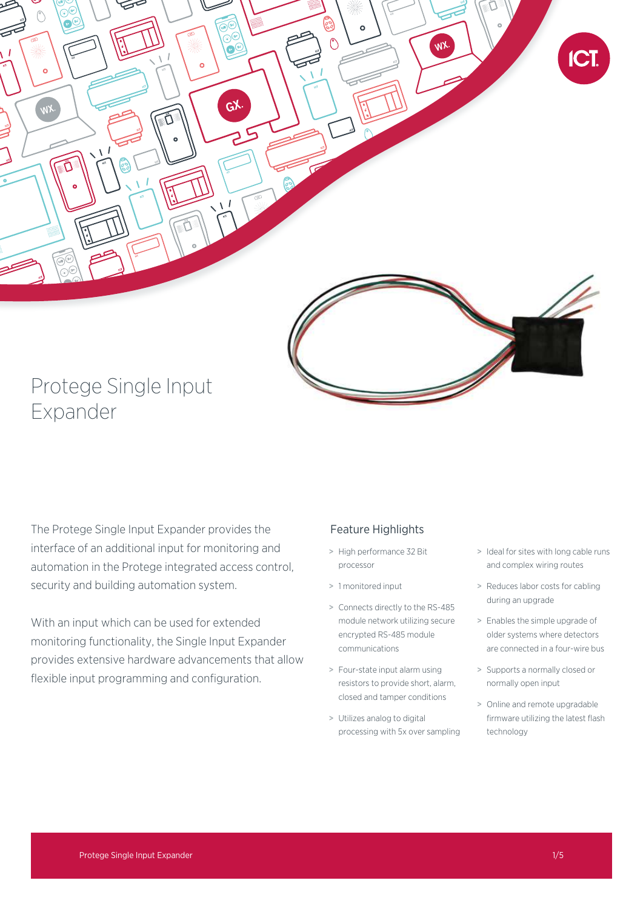

The Protege Single Input Expander provides the interface of an additional input for monitoring and automation in the Protege integrated access control, security and building automation system.

With an input which can be used for extended monitoring functionality, the Single Input Expander provides extensive hardware advancements that allow flexible input programming and configuration.

### Feature Highlights

- > High performance 32 Bit processor
- > 1 monitored input
- > Connects directly to the RS-485 module network utilizing secure encrypted RS-485 module communications
- > Four-state input alarm using resistors to provide short, alarm, closed and tamper conditions
- > Utilizes analog to digital processing with 5x over sampling
- > Ideal for sites with long cable runs and complex wiring routes
- > Reduces labor costs for cabling during an upgrade
- > Enables the simple upgrade of older systems where detectors are connected in a four-wire bus
- > Supports a normally closed or normally open input
- > Online and remote upgradable firmware utilizing the latest flash technology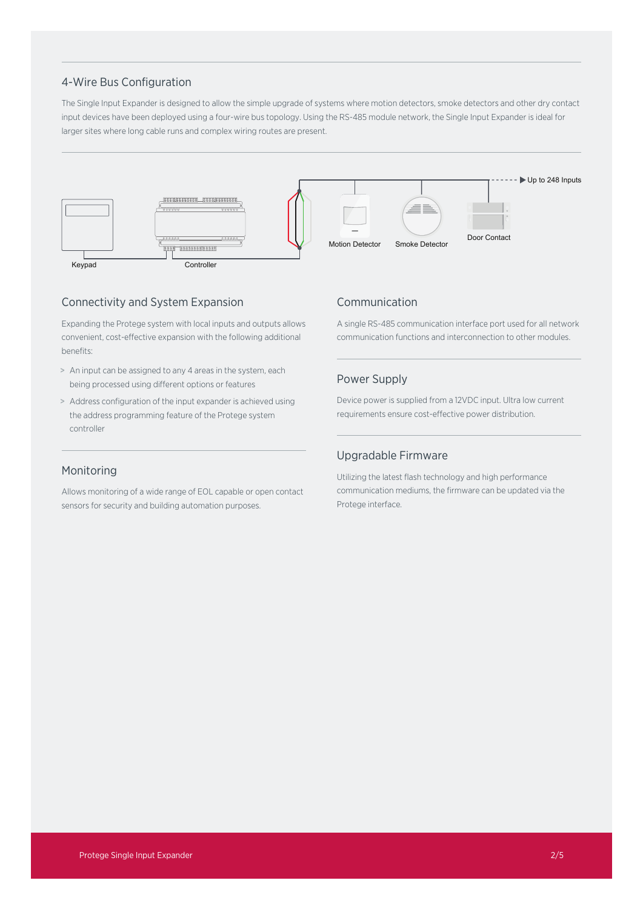### 4-Wire Bus Configuration

The Single Input Expander is designed to allow the simple upgrade of systems where motion detectors, smoke detectors and other dry contact input devices have been deployed using a four-wire bus topology. Using the RS-485 module network, the Single Input Expander is ideal for larger sites where long cable runs and complex wiring routes are present.



## Connectivity and System Expansion

Expanding the Protege system with local inputs and outputs allows convenient, cost-effective expansion with the following additional benefits:

- > An input can be assigned to any 4 areas in the system, each being processed using different options or features
- > Address configuration of the input expander is achieved using the address programming feature of the Protege system controller

### Communication

A single RS-485 communication interface port used for all network communication functions and interconnection to other modules.

### Power Supply

Device power is supplied from a 12VDC input. Ultra low current requirements ensure cost-effective power distribution.

## Monitoring

Allows monitoring of a wide range of EOL capable or open contact sensors for security and building automation purposes.

### Upgradable Firmware

Utilizing the latest flash technology and high performance communication mediums, the firmware can be updated via the Protege interface.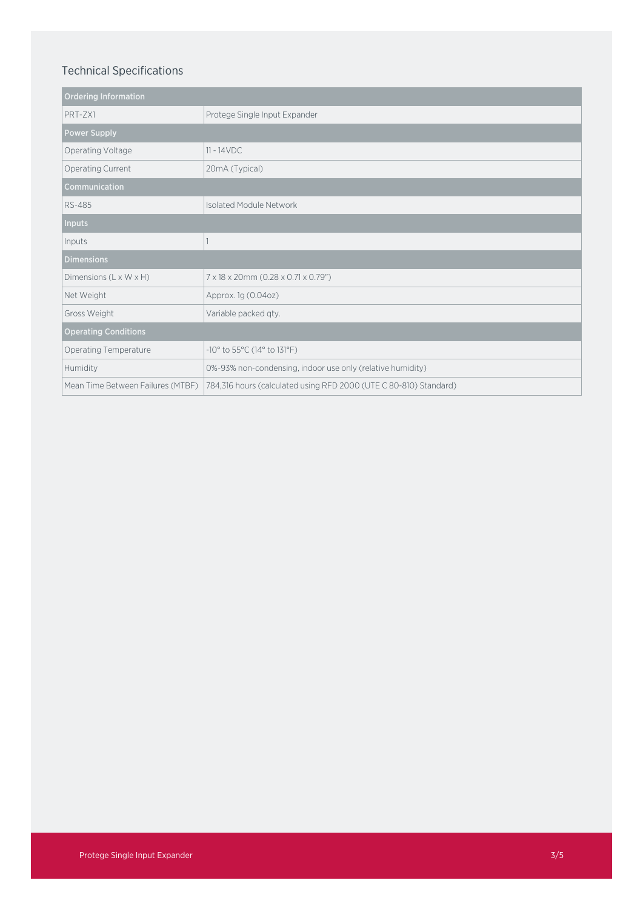# Technical Specifications

| <b>Ordering Information</b>       |                                                                   |
|-----------------------------------|-------------------------------------------------------------------|
| PRT-ZX1                           | Protege Single Input Expander                                     |
| <b>Power Supply</b>               |                                                                   |
| Operating Voltage                 | $11 - 14 VDC$                                                     |
| Operating Current                 | 20mA (Typical)                                                    |
| Communication                     |                                                                   |
| <b>RS-485</b>                     | <b>Isolated Module Network</b>                                    |
| <b>Inputs</b>                     |                                                                   |
| Inputs                            |                                                                   |
| <b>Dimensions</b>                 |                                                                   |
| Dimensions (L x W x H)            | 7 x 18 x 20mm (0.28 x 0.71 x 0.79")                               |
| Net Weight                        | Approx. 1g (0.04oz)                                               |
| Gross Weight                      | Variable packed qty.                                              |
| <b>Operating Conditions</b>       |                                                                   |
| Operating Temperature             | -10° to 55°C (14° to 131°F)                                       |
| Humidity                          | 0%-93% non-condensing, indoor use only (relative humidity)        |
| Mean Time Between Failures (MTBF) | 784,316 hours (calculated using RFD 2000 (UTE C 80-810) Standard) |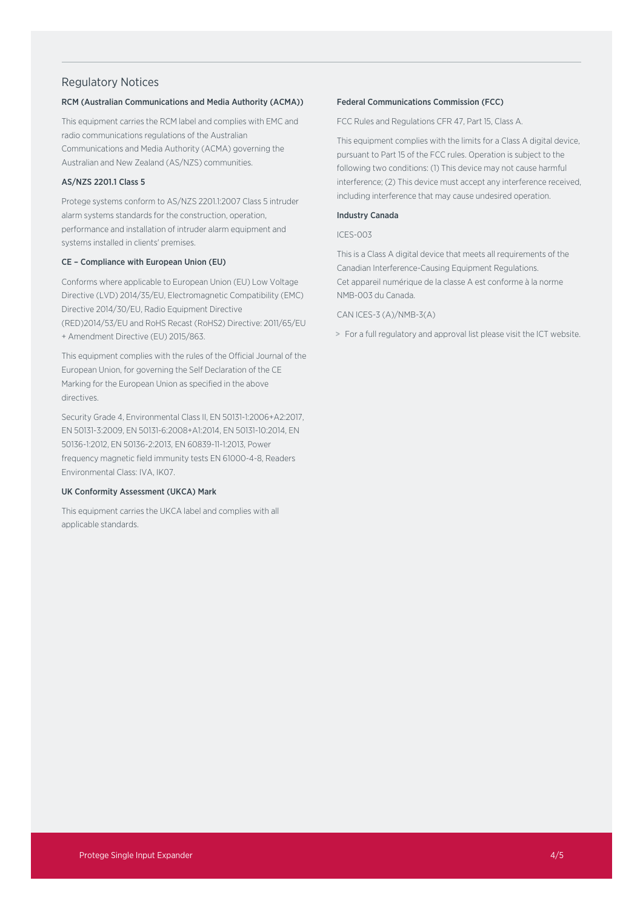### Regulatory Notices

#### RCM (Australian Communications and Media Authority (ACMA))

This equipment carries the RCM label and complies with EMC and radio communications regulations of the Australian Communications and Media Authority (ACMA) governing the Australian and New Zealand (AS/NZS) communities.

### AS/NZS 2201.1 Class 5

Protege systems conform to AS/NZS 2201.1:2007 Class 5 intruder alarm systems standards for the construction, operation, performance and installation of intruder alarm equipment and systems installed in clients' premises.

#### CE – Compliance with European Union (EU)

Conforms where applicable to European Union (EU) Low Voltage Directive (LVD) 2014/35/EU, Electromagnetic Compatibility (EMC) Directive 2014/30/EU, Radio Equipment Directive (RED)2014/53/EU and RoHS Recast (RoHS2) Directive: 2011/65/EU + Amendment Directive (EU) 2015/863.

This equipment complies with the rules of the Official Journal of the European Union, for governing the Self Declaration of the CE Marking for the European Union as specified in the above directives.

Security Grade 4, Environmental Class II, EN 50131-1:2006+A2:2017, EN 50131-3:2009, EN 50131-6:2008+A1:2014, EN 50131-10:2014, EN 50136-1:2012, EN 50136-2:2013, EN 60839-11-1:2013, Power frequency magnetic field immunity tests EN 61000-4-8, Readers Environmental Class: IVA, IK07.

### UK Conformity Assessment (UKCA) Mark

This equipment carries the UKCA label and complies with all applicable standards.

#### Federal Communications Commission (FCC)

FCC Rules and Regulations CFR 47, Part 15, Class A.

This equipment complies with the limits for a Class A digital device, pursuant to Part 15 of the FCC rules. Operation is subject to the following two conditions: (1) This device may not cause harmful interference; (2) This device must accept any interference received, including interference that may cause undesired operation.

#### Industry Canada

#### ICES-003

This is a Class A digital device that meets all requirements of the Canadian Interference-Causing Equipment Regulations. Cet appareil numérique de la classe A est conforme à la norme NMB-003 du Canada.

#### CAN ICES-3 (A)/NMB-3(A)

> For a full regulatory and approval list please visit the ICT website.